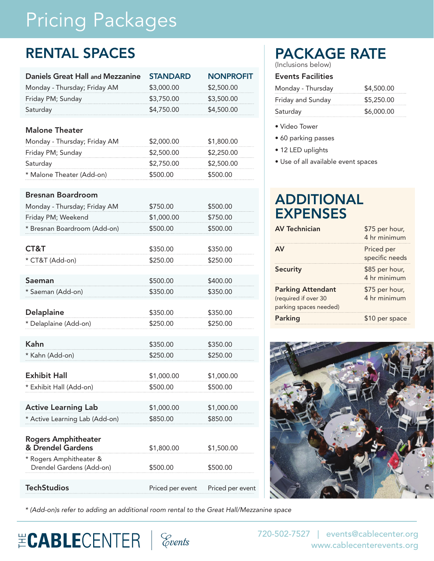# Pricing Packages

### RENTAL SPACES

| <b>Daniels Great Hall and Mezzanine</b>             | <b>STANDARD</b>  | <b>NONPROFIT</b> |
|-----------------------------------------------------|------------------|------------------|
| Monday - Thursday; Friday AM                        | \$3,000.00       | \$2,500.00       |
| Friday PM; Sunday                                   | \$3,750.00       | \$3,500.00       |
| Saturday                                            | \$4,750.00       | \$4,500.00       |
|                                                     |                  |                  |
| <b>Malone Theater</b>                               |                  |                  |
| Monday - Thursday; Friday AM                        | \$2,000.00       | \$1,800.00       |
| Friday PM; Sunday                                   | \$2,500.00       | \$2,250.00       |
| Saturday                                            | \$2,750.00       | \$2,500.00       |
| * Malone Theater (Add-on)                           | \$500.00         | \$500.00         |
| <b>Bresnan Boardroom</b>                            |                  |                  |
| Monday - Thursday; Friday AM                        | \$750.00         | \$500.00         |
|                                                     | \$1,000.00       | \$750.00         |
| Friday PM; Weekend                                  |                  |                  |
| * Bresnan Boardroom (Add-on)                        | \$500.00         | \$500.00         |
| CT&T                                                | \$350.00         | \$350.00         |
| * CT&T (Add-on)                                     | \$250.00         | \$250.00         |
|                                                     |                  |                  |
| Saeman                                              | \$500.00         | \$400.00         |
| * Saeman (Add-on)                                   | \$350.00         | \$350.00         |
|                                                     |                  |                  |
| <b>Delaplaine</b>                                   | \$350.00         | \$350.00         |
| * Delaplaine (Add-on)                               | \$250.00         | \$250.00         |
| Kahn                                                | \$350.00         | \$350.00         |
| * Kahn (Add-on)                                     | \$250.00         | \$250.00         |
|                                                     |                  |                  |
| <b>Exhibit Hall</b>                                 | \$1,000.00       | \$1,000.00       |
| * Exhibit Hall (Add-on)                             | \$500.00         | \$500.00         |
|                                                     |                  |                  |
| <b>Active Learning Lab</b>                          | \$1,000.00       | \$1,000.00       |
| * Active Learning Lab (Add-on)                      | \$850.00         | \$850.00         |
|                                                     |                  |                  |
| <b>Rogers Amphitheater</b>                          |                  |                  |
| & Drendel Gardens                                   | \$1,800.00       | \$1,500.00       |
| * Rogers Amphitheater &<br>Drendel Gardens (Add-on) | \$500.00         | \$500.00         |
|                                                     |                  |                  |
| <b>TechStudios</b>                                  | Priced per event | Priced per event |

### PACKAGE RATE

(Inclusions below)

#### Events Facilities

| Monday - Thursday | \$4,500.00 |
|-------------------|------------|
| Friday and Sunday | \$5,250.00 |
| Saturday          | \$6,000.00 |

- Video Tower
- 60 parking passes
- 12 LED uplights
- Use of all available event spaces

### ADDITIONAL EXPENSES

| <b>AV Technician</b>     | \$75 per hour,<br>4 hr minimum |
|--------------------------|--------------------------------|
| <b>AV</b>                | Priced per<br>specific needs   |
| <b>Security</b>          | \$85 per hour,<br>4 hr minimum |
| <b>Parking Attendant</b> | \$75 per hour,                 |
| (required if over 30     | 4 hr minimum                   |
| parking spaces needed)   |                                |
| Parking                  | \$10 per space                 |



*\* (Add-on)s refer to adding an additional room rental to the Great Hall/Mezzanine space*

## **ECABLE**CENTER | *Covents*

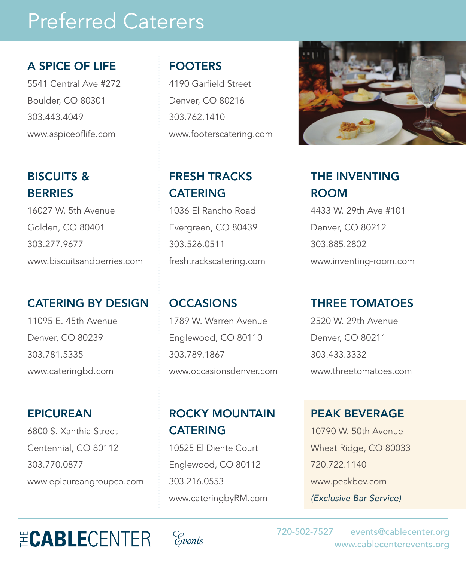### Preferred Caterers

#### A SPICE OF LIFE

5541 Central Ave #272 Boulder, CO 80301 303.443.4049 www.aspiceoflife.com

#### BISCUITS & **BERRIES**

16027 W. 5th Avenue Golden, CO 80401 303.277.9677 www.biscuitsandberries.com

#### CATERING BY DESIGN

11095 E. 45th Avenue Denver, CO 80239 303.781.5335 www.cateringbd.com

#### EPICUREAN

6800 S. Xanthia Street Centennial, CO 80112 303.770.0877 www.epicureangroupco.com

#### FOOTERS

4190 Garfield Street Denver, CO 80216 303.762.1410 www.footerscatering.com

### FRESH TRACKS **CATERING**

1036 El Rancho Road Evergreen, CO 80439 303.526.0511 freshtrackscatering.com

#### **OCCASIONS**

1789 W. Warren Avenue Englewood, CO 80110 303.789.1867 www.occasionsdenver.com

### ROCKY MOUNTAIN **CATERING**

10525 El Diente Court Englewood, CO 80112 303.216.0553 www.cateringbyRM.com



### THE INVENTING ROOM

4433 W. 29th Ave #101 Denver, CO 80212 303.885.2802 www.inventing-room.com

#### THREE TOMATOES

2520 W. 29th Avenue Denver, CO 80211 303.433.3332 www.threetomatoes.com

PEAK BEVERAGE 10790 W. 50th Avenue Wheat Ridge, CO 80033 720.722.1140 www.peakbev.com *(Exclusive Bar Service)*

## **ECABLE**CENTER | *Covents*



720-502-7527 | events@cablecenter.org www.cablecenterevents.org